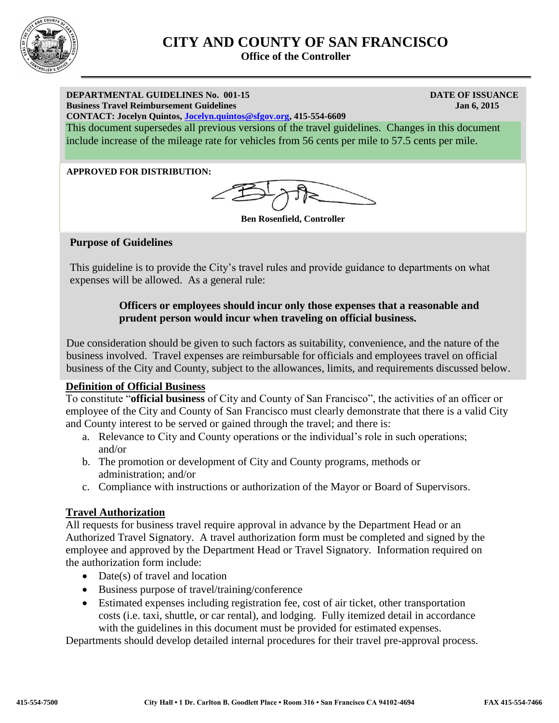

# **CITY AND COUNTY OF SAN FRANCISCO**

 **Office of the Controller**

#### **DEPARTMENTAL GUIDELINES No. 001-15 DATE OF ISSUANCE Business Travel Reimbursement Guidelines** Jan 6, 2015

**CONTACT: Jocelyn Quintos, [Jocelyn.quintos@sfgov.org,](mailto:Jocelyn.quintos@sfgov.org) 415-554-6609**

This document supersedes all previous versions of the travel guidelines. Changes in this document include increase of the mileage rate for vehicles from 56 cents per mile to 57.5 cents per mile.

#### **APPROVED FOR DISTRIBUTION:**

**Ben Rosenfield, Controller**

#### **Purpose of Guidelines**

This guideline is to provide the City's travel rules and provide guidance to departments on what expenses will be allowed. As a general rule:

#### **Officers or employees should incur only those expenses that a reasonable and prudent person would incur when traveling on official business.**

Due consideration should be given to such factors as suitability, convenience, and the nature of the business involved. Travel expenses are reimbursable for officials and employees travel on official business of the City and County, subject to the allowances, limits, and requirements discussed below.

#### **Definition of Official Business**

To constitute "**official business** of City and County of San Francisco", the activities of an officer or employee of the City and County of San Francisco must clearly demonstrate that there is a valid City and County interest to be served or gained through the travel; and there is:

- a. Relevance to City and County operations or the individual's role in such operations; and/or
- b. The promotion or development of City and County programs, methods or administration; and/or
- c. Compliance with instructions or authorization of the Mayor or Board of Supervisors.

#### **Travel Authorization**

All requests for business travel require approval in advance by the Department Head or an Authorized Travel Signatory. A travel authorization form must be completed and signed by the employee and approved by the Department Head or Travel Signatory. Information required on the authorization form include:

- Date(s) of travel and location
- Business purpose of travel/training/conference
- Estimated expenses including registration fee, cost of air ticket, other transportation costs (i.e. taxi, shuttle, or car rental), and lodging. Fully itemized detail in accordance with the guidelines in this document must be provided for estimated expenses.

Departments should develop detailed internal procedures for their travel pre-approval process.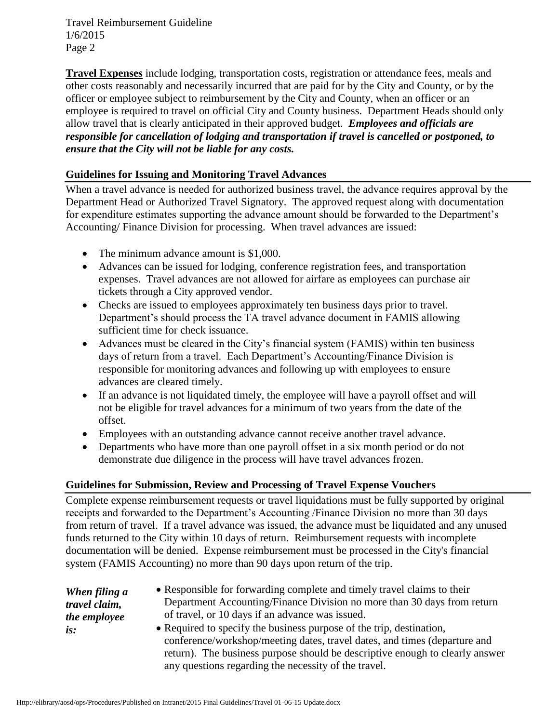**Travel Expenses** include lodging, transportation costs, registration or attendance fees, meals and other costs reasonably and necessarily incurred that are paid for by the City and County, or by the officer or employee subject to reimbursement by the City and County, when an officer or an employee is required to travel on official City and County business. Department Heads should only allow travel that is clearly anticipated in their approved budget. *Employees and officials are responsible for cancellation of lodging and transportation if travel is cancelled or postponed, to ensure that the City will not be liable for any costs.* 

#### **Guidelines for Issuing and Monitoring Travel Advances**

When a travel advance is needed for authorized business travel, the advance requires approval by the Department Head or Authorized Travel Signatory. The approved request along with documentation for expenditure estimates supporting the advance amount should be forwarded to the Department's Accounting/ Finance Division for processing. When travel advances are issued:

- The minimum advance amount is \$1,000.
- Advances can be issued for lodging, conference registration fees, and transportation expenses. Travel advances are not allowed for airfare as employees can purchase air tickets through a City approved vendor.
- Checks are issued to employees approximately ten business days prior to travel. Department's should process the TA travel advance document in FAMIS allowing sufficient time for check issuance.
- Advances must be cleared in the City's financial system (FAMIS) within ten business days of return from a travel. Each Department's Accounting/Finance Division is responsible for monitoring advances and following up with employees to ensure advances are cleared timely.
- If an advance is not liquidated timely, the employee will have a payroll offset and will not be eligible for travel advances for a minimum of two years from the date of the offset.
- Employees with an outstanding advance cannot receive another travel advance.
- Departments who have more than one payroll offset in a six month period or do not demonstrate due diligence in the process will have travel advances frozen.

## **Guidelines for Submission, Review and Processing of Travel Expense Vouchers**

Complete expense reimbursement requests or travel liquidations must be fully supported by original receipts and forwarded to the Department's Accounting /Finance Division no more than 30 days from return of travel. If a travel advance was issued, the advance must be liquidated and any unused funds returned to the City within 10 days of return. Reimbursement requests with incomplete documentation will be denied. Expense reimbursement must be processed in the City's financial system (FAMIS Accounting) no more than 90 days upon return of the trip.

| When filing a | • Responsible for forwarding complete and timely travel claims to their                                                                                                                                                                                                                   |
|---------------|-------------------------------------------------------------------------------------------------------------------------------------------------------------------------------------------------------------------------------------------------------------------------------------------|
| travel claim, | Department Accounting/Finance Division no more than 30 days from return                                                                                                                                                                                                                   |
| the employee  | of travel, or 10 days if an advance was issued.                                                                                                                                                                                                                                           |
| is:           | • Required to specify the business purpose of the trip, destination,<br>conference/workshop/meeting dates, travel dates, and times (departure and<br>return). The business purpose should be descriptive enough to clearly answer<br>any questions regarding the necessity of the travel. |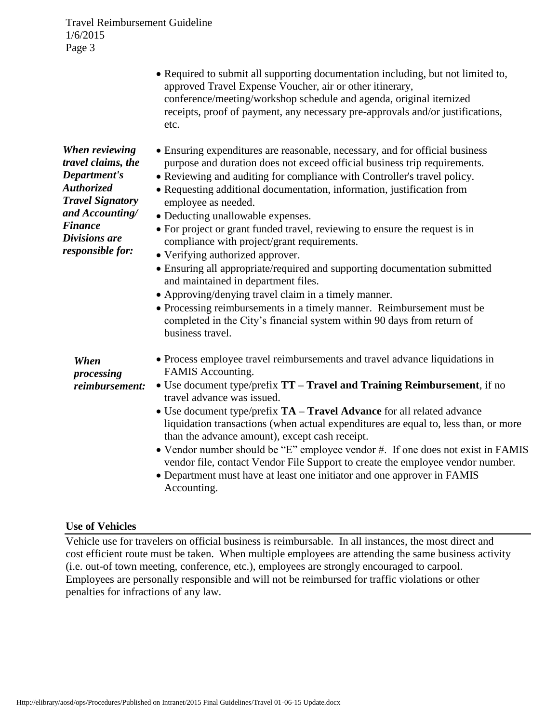|                                                                                                                                                                                | • Required to submit all supporting documentation including, but not limited to,<br>approved Travel Expense Voucher, air or other itinerary,<br>conference/meeting/workshop schedule and agenda, original itemized<br>receipts, proof of payment, any necessary pre-approvals and/or justifications,<br>etc.                                                                                                                                                                                                                                                                                                                                                                                                                                                                                                                                                                                      |
|--------------------------------------------------------------------------------------------------------------------------------------------------------------------------------|---------------------------------------------------------------------------------------------------------------------------------------------------------------------------------------------------------------------------------------------------------------------------------------------------------------------------------------------------------------------------------------------------------------------------------------------------------------------------------------------------------------------------------------------------------------------------------------------------------------------------------------------------------------------------------------------------------------------------------------------------------------------------------------------------------------------------------------------------------------------------------------------------|
| When reviewing<br>travel claims, the<br>Department's<br><b>Authorized</b><br><b>Travel Signatory</b><br>and Accounting/<br><b>Finance</b><br>Divisions are<br>responsible for: | • Ensuring expenditures are reasonable, necessary, and for official business<br>purpose and duration does not exceed official business trip requirements.<br>• Reviewing and auditing for compliance with Controller's travel policy.<br>• Requesting additional documentation, information, justification from<br>employee as needed.<br>• Deducting unallowable expenses.<br>• For project or grant funded travel, reviewing to ensure the request is in<br>compliance with project/grant requirements.<br>• Verifying authorized approver.<br>• Ensuring all appropriate/required and supporting documentation submitted<br>and maintained in department files.<br>• Approving/denying travel claim in a timely manner.<br>• Processing reimbursements in a timely manner. Reimbursement must be<br>completed in the City's financial system within 90 days from return of<br>business travel. |
| When<br>processing<br>reimbursement:                                                                                                                                           | • Process employee travel reimbursements and travel advance liquidations in<br>FAMIS Accounting.<br>• Use document type/prefix TT – Travel and Training Reimbursement, if no<br>travel advance was issued.<br>• Use document type/prefix TA – Travel Advance for all related advance<br>liquidation transactions (when actual expenditures are equal to, less than, or more<br>than the advance amount), except cash receipt.<br>• Vendor number should be "E" employee vendor #. If one does not exist in FAMIS<br>vendor file, contact Vendor File Support to create the employee vendor number.<br>• Department must have at least one initiator and one approver in FAMIS<br>Accounting.                                                                                                                                                                                                      |

#### **Use of Vehicles**

Vehicle use for travelers on official business is reimbursable. In all instances, the most direct and cost efficient route must be taken. When multiple employees are attending the same business activity (i.e. out-of town meeting, conference, etc.), employees are strongly encouraged to carpool. Employees are personally responsible and will not be reimbursed for traffic violations or other penalties for infractions of any law.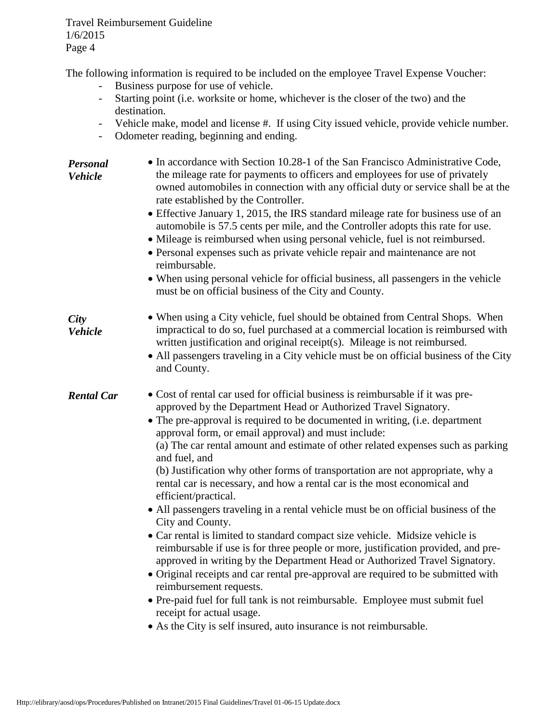The following information is required to be included on the employee Travel Expense Voucher:

- Business purpose for use of vehicle.
- Starting point (i.e. worksite or home, whichever is the closer of the two) and the destination.
- Vehicle make, model and license #. If using City issued vehicle, provide vehicle number.
- Odometer reading, beginning and ending.

| Personal<br><b>Vehicle</b>    | • In accordance with Section 10.28-1 of the San Francisco Administrative Code,<br>the mileage rate for payments to officers and employees for use of privately<br>owned automobiles in connection with any official duty or service shall be at the<br>rate established by the Controller.<br>• Effective January 1, 2015, the IRS standard mileage rate for business use of an<br>automobile is 57.5 cents per mile, and the Controller adopts this rate for use.<br>• Mileage is reimbursed when using personal vehicle, fuel is not reimbursed.<br>• Personal expenses such as private vehicle repair and maintenance are not<br>reimbursable.<br>• When using personal vehicle for official business, all passengers in the vehicle<br>must be on official business of the City and County.                                                                                                                                                                                                                                                                                                                                                                                                                                                     |
|-------------------------------|-----------------------------------------------------------------------------------------------------------------------------------------------------------------------------------------------------------------------------------------------------------------------------------------------------------------------------------------------------------------------------------------------------------------------------------------------------------------------------------------------------------------------------------------------------------------------------------------------------------------------------------------------------------------------------------------------------------------------------------------------------------------------------------------------------------------------------------------------------------------------------------------------------------------------------------------------------------------------------------------------------------------------------------------------------------------------------------------------------------------------------------------------------------------------------------------------------------------------------------------------------|
| <b>City</b><br><b>Vehicle</b> | • When using a City vehicle, fuel should be obtained from Central Shops. When<br>impractical to do so, fuel purchased at a commercial location is reimbursed with<br>written justification and original receipt(s). Mileage is not reimbursed.<br>• All passengers traveling in a City vehicle must be on official business of the City<br>and County.                                                                                                                                                                                                                                                                                                                                                                                                                                                                                                                                                                                                                                                                                                                                                                                                                                                                                              |
| <b>Rental Car</b>             | • Cost of rental car used for official business is reimbursable if it was pre-<br>approved by the Department Head or Authorized Travel Signatory.<br>• The pre-approval is required to be documented in writing, (i.e. department<br>approval form, or email approval) and must include:<br>(a) The car rental amount and estimate of other related expenses such as parking<br>and fuel, and<br>(b) Justification why other forms of transportation are not appropriate, why a<br>rental car is necessary, and how a rental car is the most economical and<br>efficient/practical.<br>• All passengers traveling in a rental vehicle must be on official business of the<br>City and County.<br>• Car rental is limited to standard compact size vehicle. Midsize vehicle is<br>reimbursable if use is for three people or more, justification provided, and pre-<br>approved in writing by the Department Head or Authorized Travel Signatory.<br>• Original receipts and car rental pre-approval are required to be submitted with<br>reimbursement requests.<br>• Pre-paid fuel for full tank is not reimbursable. Employee must submit fuel<br>receipt for actual usage.<br>• As the City is self insured, auto insurance is not reimbursable. |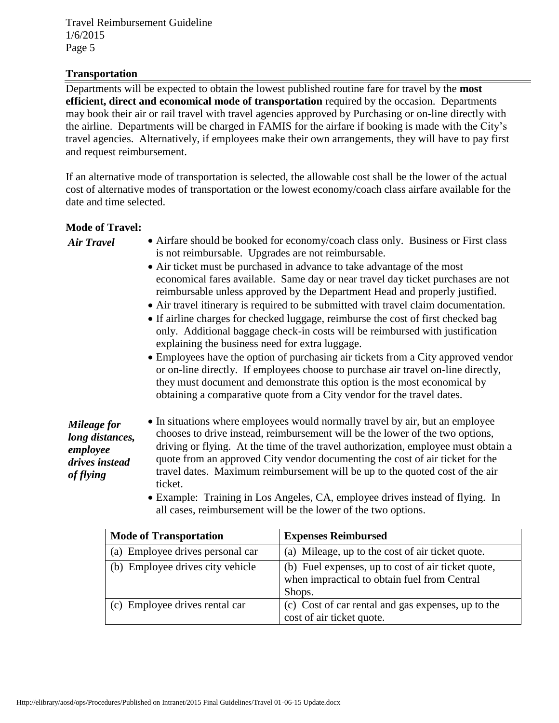#### **Transportation**

Departments will be expected to obtain the lowest published routine fare for travel by the **most efficient, direct and economical mode of transportation** required by the occasion. Departments may book their air or rail travel with travel agencies approved by Purchasing or on-line directly with the airline. Departments will be charged in FAMIS for the airfare if booking is made with the City's travel agencies. Alternatively, if employees make their own arrangements, they will have to pay first and request reimbursement.

If an alternative mode of transportation is selected, the allowable cost shall be the lower of the actual cost of alternative modes of transportation or the lowest economy/coach class airfare available for the date and time selected.

#### **Mode of Travel:**

*Air Travel*

- Airfare should be booked for economy/coach class only. Business or First class is not reimbursable. Upgrades are not reimbursable.
- Air ticket must be purchased in advance to take advantage of the most economical fares available. Same day or near travel day ticket purchases are not reimbursable unless approved by the Department Head and properly justified.
- Air travel itinerary is required to be submitted with travel claim documentation.
- If airline charges for checked luggage, reimburse the cost of first checked bag only. Additional baggage check-in costs will be reimbursed with justification explaining the business need for extra luggage.
- Employees have the option of purchasing air tickets from a City approved vendor or on-line directly. If employees choose to purchase air travel on-line directly, they must document and demonstrate this option is the most economical by obtaining a comparative quote from a City vendor for the travel dates.

*Mileage for long distances, employee drives instead of flying*

- In situations where employees would normally travel by air, but an employee chooses to drive instead, reimbursement will be the lower of the two options, driving or flying. At the time of the travel authorization, employee must obtain a quote from an approved City vendor documenting the cost of air ticket for the travel dates. Maximum reimbursement will be up to the quoted cost of the air ticket.
- Example: Training in Los Angeles, CA, employee drives instead of flying. In all cases, reimbursement will be the lower of the two options.

| <b>Mode of Transportation</b>    | <b>Expenses Reimbursed</b>                                                                                   |
|----------------------------------|--------------------------------------------------------------------------------------------------------------|
| (a) Employee drives personal car | (a) Mileage, up to the cost of air ticket quote.                                                             |
| (b) Employee drives city vehicle | (b) Fuel expenses, up to cost of air ticket quote,<br>when impractical to obtain fuel from Central<br>Shops. |
| (c) Employee drives rental car   | (c) Cost of car rental and gas expenses, up to the<br>cost of air ticket quote.                              |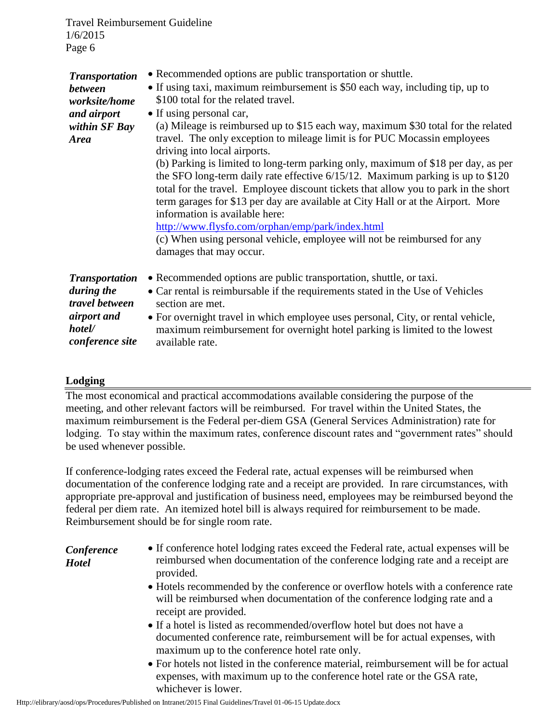| <b>Transportation</b><br>between<br>worksite/home<br>and airport<br>within SF Bay<br><b>Area</b> | • Recommended options are public transportation or shuttle.<br>• If using taxi, maximum reimbursement is \$50 each way, including tip, up to<br>\$100 total for the related travel.<br>• If using personal car,<br>(a) Mileage is reimbursed up to \$15 each way, maximum \$30 total for the related<br>travel. The only exception to mileage limit is for PUC Mocassin employees<br>driving into local airports.<br>(b) Parking is limited to long-term parking only, maximum of \$18 per day, as per<br>the SFO long-term daily rate effective $6/15/12$ . Maximum parking is up to \$120<br>total for the travel. Employee discount tickets that allow you to park in the short<br>term garages for \$13 per day are available at City Hall or at the Airport. More<br>information is available here:<br>http://www.flysfo.com/orphan/emp/park/index.html<br>(c) When using personal vehicle, employee will not be reimbursed for any<br>damages that may occur. |
|--------------------------------------------------------------------------------------------------|---------------------------------------------------------------------------------------------------------------------------------------------------------------------------------------------------------------------------------------------------------------------------------------------------------------------------------------------------------------------------------------------------------------------------------------------------------------------------------------------------------------------------------------------------------------------------------------------------------------------------------------------------------------------------------------------------------------------------------------------------------------------------------------------------------------------------------------------------------------------------------------------------------------------------------------------------------------------|
| <b>Transportation</b>                                                                            | • Recommended options are public transportation, shuttle, or taxi.                                                                                                                                                                                                                                                                                                                                                                                                                                                                                                                                                                                                                                                                                                                                                                                                                                                                                                  |
| during the                                                                                       | • Car rental is reimbursable if the requirements stated in the Use of Vehicles                                                                                                                                                                                                                                                                                                                                                                                                                                                                                                                                                                                                                                                                                                                                                                                                                                                                                      |
| travel between                                                                                   | section are met.                                                                                                                                                                                                                                                                                                                                                                                                                                                                                                                                                                                                                                                                                                                                                                                                                                                                                                                                                    |
| airport and                                                                                      | • For overnight travel in which employee uses personal, City, or rental vehicle,                                                                                                                                                                                                                                                                                                                                                                                                                                                                                                                                                                                                                                                                                                                                                                                                                                                                                    |
| hotel/                                                                                           | maximum reimbursement for overnight hotel parking is limited to the lowest                                                                                                                                                                                                                                                                                                                                                                                                                                                                                                                                                                                                                                                                                                                                                                                                                                                                                          |
| conference site                                                                                  | available rate.                                                                                                                                                                                                                                                                                                                                                                                                                                                                                                                                                                                                                                                                                                                                                                                                                                                                                                                                                     |

## **Lodging**

The most economical and practical accommodations available considering the purpose of the meeting, and other relevant factors will be reimbursed. For travel within the United States, the maximum reimbursement is the Federal per-diem GSA (General Services Administration) rate for lodging. To stay within the maximum rates, conference discount rates and "government rates" should be used whenever possible.

If conference-lodging rates exceed the Federal rate, actual expenses will be reimbursed when documentation of the conference lodging rate and a receipt are provided. In rare circumstances, with appropriate pre-approval and justification of business need, employees may be reimbursed beyond the federal per diem rate. An itemized hotel bill is always required for reimbursement to be made. Reimbursement should be for single room rate.

*Conference Hotel*

- If conference hotel lodging rates exceed the Federal rate, actual expenses will be reimbursed when documentation of the conference lodging rate and a receipt are provided.
- Hotels recommended by the conference or overflow hotels with a conference rate will be reimbursed when documentation of the conference lodging rate and a receipt are provided.
- If a hotel is listed as recommended/overflow hotel but does not have a documented conference rate, reimbursement will be for actual expenses, with maximum up to the conference hotel rate only.
- For hotels not listed in the conference material, reimbursement will be for actual expenses, with maximum up to the conference hotel rate or the GSA rate, whichever is lower.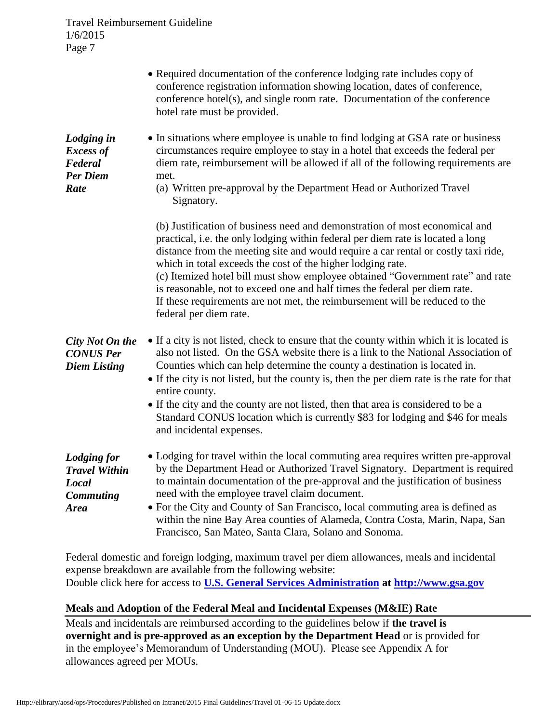|                                                                                               | • Required documentation of the conference lodging rate includes copy of<br>conference registration information showing location, dates of conference,<br>conference hotel(s), and single room rate. Documentation of the conference<br>hotel rate must be provided.                                                                                                                                                                                                                                                                                                                         |
|-----------------------------------------------------------------------------------------------|----------------------------------------------------------------------------------------------------------------------------------------------------------------------------------------------------------------------------------------------------------------------------------------------------------------------------------------------------------------------------------------------------------------------------------------------------------------------------------------------------------------------------------------------------------------------------------------------|
| Lodging in<br><b>Excess of</b><br>Federal<br><b>Per Diem</b><br>Rate                          | • In situations where employee is unable to find lodging at GSA rate or business<br>circumstances require employee to stay in a hotel that exceeds the federal per<br>diem rate, reimbursement will be allowed if all of the following requirements are<br>met.<br>(a) Written pre-approval by the Department Head or Authorized Travel<br>Signatory.                                                                                                                                                                                                                                        |
|                                                                                               | (b) Justification of business need and demonstration of most economical and<br>practical, i.e. the only lodging within federal per diem rate is located a long<br>distance from the meeting site and would require a car rental or costly taxi ride,<br>which in total exceeds the cost of the higher lodging rate.<br>(c) Itemized hotel bill must show employee obtained "Government rate" and rate<br>is reasonable, not to exceed one and half times the federal per diem rate.<br>If these requirements are not met, the reimbursement will be reduced to the<br>federal per diem rate. |
| City Not On the<br><b>CONUS Per</b><br><b>Diem Listing</b>                                    | • If a city is not listed, check to ensure that the county within which it is located is<br>also not listed. On the GSA website there is a link to the National Association of<br>Counties which can help determine the county a destination is located in.<br>• If the city is not listed, but the county is, then the per diem rate is the rate for that<br>entire county.<br>• If the city and the county are not listed, then that area is considered to be a<br>Standard CONUS location which is currently \$83 for lodging and \$46 for meals<br>and incidental expenses.              |
| <b>Lodging for</b><br><b>Travel Within</b><br><b>Local</b><br><b>Commuting</b><br><b>Area</b> | • Lodging for travel within the local commuting area requires written pre-approval<br>by the Department Head or Authorized Travel Signatory. Department is required<br>to maintain documentation of the pre-approval and the justification of business<br>need with the employee travel claim document.<br>• For the City and County of San Francisco, local commuting area is defined as<br>within the nine Bay Area counties of Alameda, Contra Costa, Marin, Napa, San<br>Francisco, San Mateo, Santa Clara, Solano and Sonoma.                                                           |

Federal domestic and foreign lodging, maximum travel per diem allowances, meals and incidental expense breakdown are available from the following website: Double click here for access to **[U.S. General Services Administration](http://www.gsa.gov/Portal/gsa/ep/contentView.do?programId=9704&channelId=-15943&ooid=16365&contentId=17943&pageTypeId=8203&contentType=GSA_BASIC&programPage=%2Fep%2Fprogram%2FgsaBasic.jsp&P=MTT) at [http://www.gsa.gov](http://www.gsa.gov/)**

## **Meals and Adoption of the Federal Meal and Incidental Expenses (M&IE) Rate**

Meals and incidentals are reimbursed according to the guidelines below if **the travel is overnight and is pre-approved as an exception by the Department Head** or is provided for in the employee's Memorandum of Understanding (MOU). Please see Appendix A for allowances agreed per MOUs.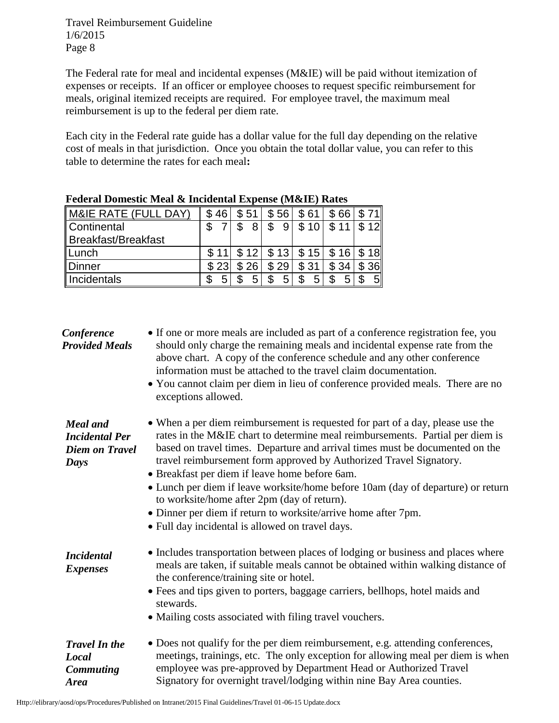The Federal rate for meal and incidental expenses (M&IE) will be paid without itemization of expenses or receipts. If an officer or employee chooses to request specific reimbursement for meals, original itemized receipts are required. For employee travel, the maximum meal reimbursement is up to the federal per diem rate.

Each city in the Federal rate guide has a dollar value for the full day depending on the relative cost of meals in that jurisdiction. Once you obtain the total dollar value, you can refer to this table to determine the rates for each meal**:**

|                      | Puulai Donnustu Muar & Inchuchtar Expense (Muxile) Katus |      |                 |      |                    |                |
|----------------------|----------------------------------------------------------|------|-----------------|------|--------------------|----------------|
| M&IE RATE (FULL DAY) | \$46                                                     | 51   | 56              | \$61 | 66                 |                |
| Continental          |                                                          | 8    | 9               | \$10 | $$11$   \$12       |                |
| Breakfast/Breakfast  |                                                          |      |                 |      |                    |                |
| Lunch                |                                                          |      | $$12 \mid $13]$ |      | \$15   \$16   \$18 |                |
| Dinner               | \$23                                                     | \$26 | \$29            | \$31 | \$34               | \$36           |
| Incidentals          |                                                          | 5    | 5               | 5    | 5                  | 5 <sup>1</sup> |

| <b>Federal Domestic Meal &amp; Incidental Expense (M&amp;IE) Rates</b> |  |  |
|------------------------------------------------------------------------|--|--|
|                                                                        |  |  |

| Conference<br><b>Provided Meals</b>                                       | • If one or more meals are included as part of a conference registration fee, you<br>should only charge the remaining meals and incidental expense rate from the<br>above chart. A copy of the conference schedule and any other conference<br>information must be attached to the travel claim documentation.<br>• You cannot claim per diem in lieu of conference provided meals. There are no<br>exceptions allowed.                                                                                                                                                                                                          |
|---------------------------------------------------------------------------|----------------------------------------------------------------------------------------------------------------------------------------------------------------------------------------------------------------------------------------------------------------------------------------------------------------------------------------------------------------------------------------------------------------------------------------------------------------------------------------------------------------------------------------------------------------------------------------------------------------------------------|
| <b>Meal</b> and<br><b>Incidental Per</b><br><b>Diem on Travel</b><br>Days | • When a per diem reimbursement is requested for part of a day, please use the<br>rates in the M&IE chart to determine meal reimbursements. Partial per diem is<br>based on travel times. Departure and arrival times must be documented on the<br>travel reimbursement form approved by Authorized Travel Signatory.<br>• Breakfast per diem if leave home before 6am.<br>• Lunch per diem if leave worksite/home before 10am (day of departure) or return<br>to worksite/home after 2pm (day of return).<br>• Dinner per diem if return to worksite/arrive home after 7pm.<br>• Full day incidental is allowed on travel days. |
| <b>Incidental</b><br><b>Expenses</b>                                      | • Includes transportation between places of lodging or business and places where<br>meals are taken, if suitable meals cannot be obtained within walking distance of<br>the conference/training site or hotel.<br>• Fees and tips given to porters, baggage carriers, bellhops, hotel maids and<br>stewards.<br>• Mailing costs associated with filing travel vouchers.                                                                                                                                                                                                                                                          |
| <b>Travel In the</b><br>Local<br><b>Commuting</b><br><b>Area</b>          | • Does not qualify for the per diem reimbursement, e.g. attending conferences,<br>meetings, trainings, etc. The only exception for allowing meal per diem is when<br>employee was pre-approved by Department Head or Authorized Travel<br>Signatory for overnight travel/lodging within nine Bay Area counties.                                                                                                                                                                                                                                                                                                                  |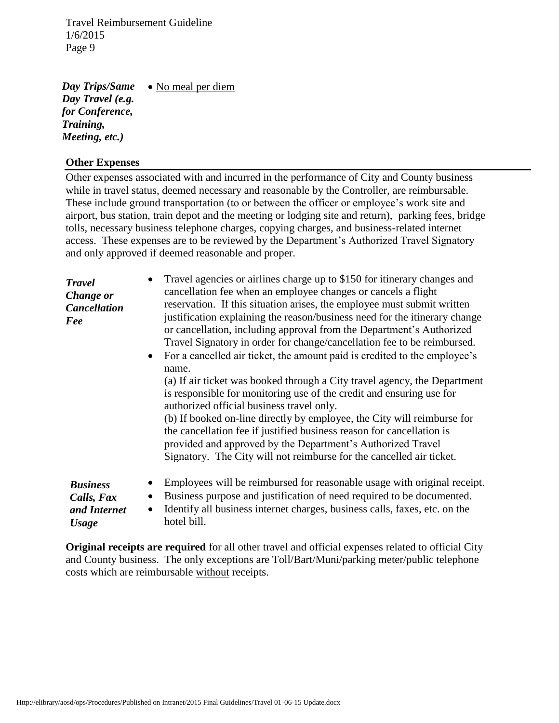• No meal per diem *Day Trips/Same Day Travel (e.g. for Conference, Training, Meeting, etc.)*

#### **Other Expenses**

Other expenses associated with and incurred in the performance of City and County business while in travel status, deemed necessary and reasonable by the Controller, are reimbursable. These include ground transportation (to or between the officer or employee's work site and airport, bus station, train depot and the meeting or lodging site and return), parking fees, bridge tolls, necessary business telephone charges, copying charges, and business-related internet access. These expenses are to be reviewed by the Department's Authorized Travel Signatory and only approved if deemed reasonable and proper.

| <b>Travel</b><br>Change or<br><b>Cancellation</b><br>Fee | • Travel agencies or airlines charge up to \$150 for itinerary changes and<br>cancellation fee when an employee changes or cancels a flight<br>reservation. If this situation arises, the employee must submit written<br>justification explaining the reason/business need for the itinerary change<br>or cancellation, including approval from the Department's Authorized<br>Travel Signatory in order for change/cancellation fee to be reimbursed.<br>• For a cancelled air ticket, the amount paid is credited to the employee's<br>name.<br>(a) If air ticket was booked through a City travel agency, the Department<br>is responsible for monitoring use of the credit and ensuring use for<br>authorized official business travel only.<br>(b) If booked on-line directly by employee, the City will reimburse for<br>the cancellation fee if justified business reason for cancellation is<br>provided and approved by the Department's Authorized Travel<br>Signatory. The City will not reimburse for the cancelled air ticket. |
|----------------------------------------------------------|----------------------------------------------------------------------------------------------------------------------------------------------------------------------------------------------------------------------------------------------------------------------------------------------------------------------------------------------------------------------------------------------------------------------------------------------------------------------------------------------------------------------------------------------------------------------------------------------------------------------------------------------------------------------------------------------------------------------------------------------------------------------------------------------------------------------------------------------------------------------------------------------------------------------------------------------------------------------------------------------------------------------------------------------|
| <b>Business</b><br>Calls, Fax<br>and Internet            | Employees will be reimbursed for reasonable usage with original receipt.<br>Business purpose and justification of need required to be documented.<br>Identify all business internet charges, business calls, faxes, etc. on the<br>$\bullet$                                                                                                                                                                                                                                                                                                                                                                                                                                                                                                                                                                                                                                                                                                                                                                                                 |

*Usage*

**Original receipts are required** for all other travel and official expenses related to official City and County business. The only exceptions are Toll/Bart/Muni/parking meter/public telephone costs which are reimbursable without receipts.

hotel bill.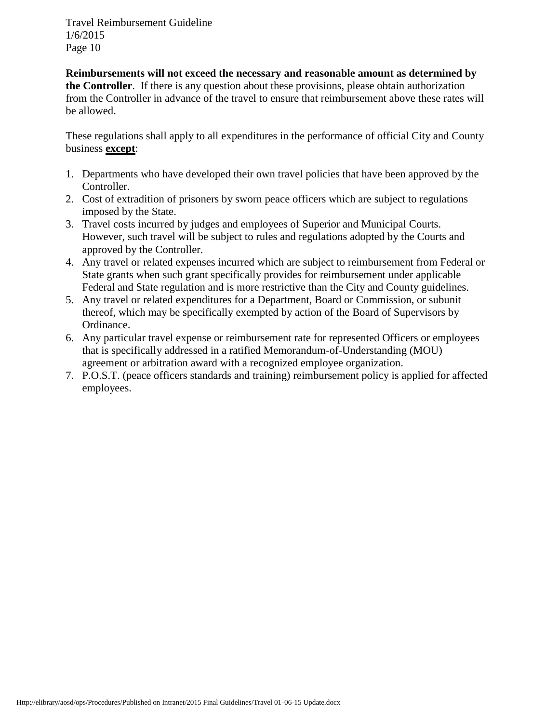**Reimbursements will not exceed the necessary and reasonable amount as determined by the Controller**. If there is any question about these provisions, please obtain authorization from the Controller in advance of the travel to ensure that reimbursement above these rates will be allowed.

These regulations shall apply to all expenditures in the performance of official City and County business **except**:

- 1. Departments who have developed their own travel policies that have been approved by the Controller.
- 2. Cost of extradition of prisoners by sworn peace officers which are subject to regulations imposed by the State.
- 3. Travel costs incurred by judges and employees of Superior and Municipal Courts. However, such travel will be subject to rules and regulations adopted by the Courts and approved by the Controller.
- 4. Any travel or related expenses incurred which are subject to reimbursement from Federal or State grants when such grant specifically provides for reimbursement under applicable Federal and State regulation and is more restrictive than the City and County guidelines.
- 5. Any travel or related expenditures for a Department, Board or Commission, or subunit thereof, which may be specifically exempted by action of the Board of Supervisors by Ordinance.
- 6. Any particular travel expense or reimbursement rate for represented Officers or employees that is specifically addressed in a ratified Memorandum-of-Understanding (MOU) agreement or arbitration award with a recognized employee organization.
- 7. P.O.S.T. (peace officers standards and training) reimbursement policy is applied for affected employees.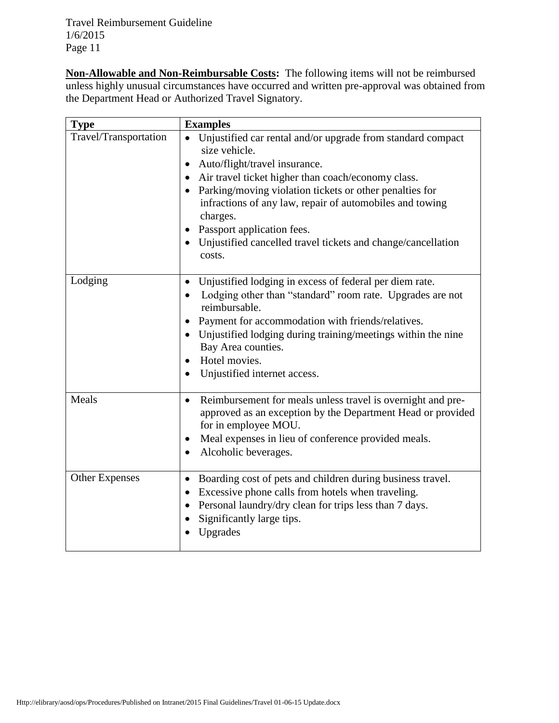**Non-Allowable and Non-Reimbursable Costs:** The following items will not be reimbursed unless highly unusual circumstances have occurred and written pre-approval was obtained from the Department Head or Authorized Travel Signatory.

| <b>Type</b>           | <b>Examples</b>                                                                                                                                                                                                                                                                                                                                                                                                |  |  |
|-----------------------|----------------------------------------------------------------------------------------------------------------------------------------------------------------------------------------------------------------------------------------------------------------------------------------------------------------------------------------------------------------------------------------------------------------|--|--|
| Travel/Transportation | Unjustified car rental and/or upgrade from standard compact<br>size vehicle.<br>Auto/flight/travel insurance.<br>Air travel ticket higher than coach/economy class.<br>Parking/moving violation tickets or other penalties for<br>infractions of any law, repair of automobiles and towing<br>charges.<br>Passport application fees.<br>Unjustified cancelled travel tickets and change/cancellation<br>costs. |  |  |
| Lodging               | Unjustified lodging in excess of federal per diem rate.<br>$\bullet$<br>Lodging other than "standard" room rate. Upgrades are not<br>reimbursable.<br>Payment for accommodation with friends/relatives.<br>Unjustified lodging during training/meetings within the nine<br>Bay Area counties.<br>Hotel movies.<br>$\bullet$<br>Unjustified internet access.<br>$\bullet$                                       |  |  |
| Meals                 | Reimbursement for meals unless travel is overnight and pre-<br>$\bullet$<br>approved as an exception by the Department Head or provided<br>for in employee MOU.<br>Meal expenses in lieu of conference provided meals.<br>Alcoholic beverages.                                                                                                                                                                 |  |  |
| <b>Other Expenses</b> | Boarding cost of pets and children during business travel.<br>$\bullet$<br>Excessive phone calls from hotels when traveling.<br>Personal laundry/dry clean for trips less than 7 days.<br>Significantly large tips.<br>Upgrades                                                                                                                                                                                |  |  |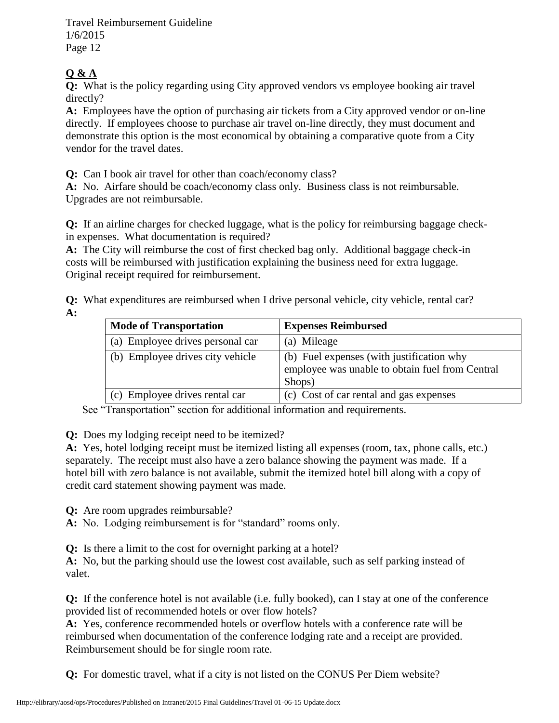## **Q & A**

**Q:** What is the policy regarding using City approved vendors vs employee booking air travel directly?

**A:** Employees have the option of purchasing air tickets from a City approved vendor or on-line directly. If employees choose to purchase air travel on-line directly, they must document and demonstrate this option is the most economical by obtaining a comparative quote from a City vendor for the travel dates.

**Q:** Can I book air travel for other than coach/economy class?

**A:** No. Airfare should be coach/economy class only. Business class is not reimbursable. Upgrades are not reimbursable.

**Q:** If an airline charges for checked luggage, what is the policy for reimbursing baggage checkin expenses. What documentation is required?

**A:** The City will reimburse the cost of first checked bag only. Additional baggage check-in costs will be reimbursed with justification explaining the business need for extra luggage. Original receipt required for reimbursement.

**Q:** What expenditures are reimbursed when I drive personal vehicle, city vehicle, rental car? **A:** 

| <b>Mode of Transportation</b>    | <b>Expenses Reimbursed</b>                                                                             |
|----------------------------------|--------------------------------------------------------------------------------------------------------|
| (a) Employee drives personal car | (a) Mileage                                                                                            |
| (b) Employee drives city vehicle | (b) Fuel expenses (with justification why<br>employee was unable to obtain fuel from Central<br>Shops) |
| (c) Employee drives rental car   | (c) Cost of car rental and gas expenses                                                                |

See "Transportation" section for additional information and requirements.

**Q:** Does my lodging receipt need to be itemized?

**A:** Yes, hotel lodging receipt must be itemized listing all expenses (room, tax, phone calls, etc.) separately. The receipt must also have a zero balance showing the payment was made. If a hotel bill with zero balance is not available, submit the itemized hotel bill along with a copy of credit card statement showing payment was made.

**Q:** Are room upgrades reimbursable?

**A:** No. Lodging reimbursement is for "standard" rooms only.

**Q:** Is there a limit to the cost for overnight parking at a hotel?

**A:** No, but the parking should use the lowest cost available, such as self parking instead of valet.

**Q:** If the conference hotel is not available (i.e. fully booked), can I stay at one of the conference provided list of recommended hotels or over flow hotels?

**A:** Yes, conference recommended hotels or overflow hotels with a conference rate will be reimbursed when documentation of the conference lodging rate and a receipt are provided. Reimbursement should be for single room rate.

**Q:** For domestic travel, what if a city is not listed on the CONUS Per Diem website?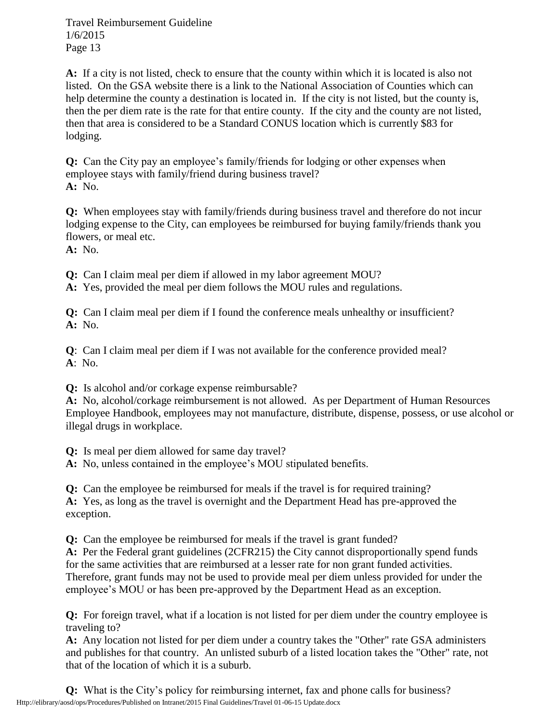**A:** If a city is not listed, check to ensure that the county within which it is located is also not listed. On the GSA website there is a link to the National Association of Counties which can help determine the county a destination is located in. If the city is not listed, but the county is, then the per diem rate is the rate for that entire county. If the city and the county are not listed, then that area is considered to be a Standard CONUS location which is currently \$83 for lodging.

**Q:** Can the City pay an employee's family/friends for lodging or other expenses when employee stays with family/friend during business travel? **A:** No.

**Q:** When employees stay with family/friends during business travel and therefore do not incur lodging expense to the City, can employees be reimbursed for buying family/friends thank you flowers, or meal etc.

**A:** No.

**Q:** Can I claim meal per diem if allowed in my labor agreement MOU?

**A:** Yes, provided the meal per diem follows the MOU rules and regulations.

**Q:** Can I claim meal per diem if I found the conference meals unhealthy or insufficient? **A:** No.

**Q**: Can I claim meal per diem if I was not available for the conference provided meal? **A**: No.

**Q:** Is alcohol and/or corkage expense reimbursable?

**A:** No, alcohol/corkage reimbursement is not allowed. As per Department of Human Resources Employee Handbook, employees may not manufacture, distribute, dispense, possess, or use alcohol or illegal drugs in workplace.

**Q:** Is meal per diem allowed for same day travel?

**A:** No, unless contained in the employee's MOU stipulated benefits.

**Q:** Can the employee be reimbursed for meals if the travel is for required training? **A:** Yes, as long as the travel is overnight and the Department Head has pre-approved the exception.

**Q:** Can the employee be reimbursed for meals if the travel is grant funded?

**A:** Per the Federal grant guidelines (2CFR215) the City cannot disproportionally spend funds for the same activities that are reimbursed at a lesser rate for non grant funded activities. Therefore, grant funds may not be used to provide meal per diem unless provided for under the employee's MOU or has been pre-approved by the Department Head as an exception.

**Q:** For foreign travel, what if a location is not listed for per diem under the country employee is traveling to?

**A:** Any location not listed for per diem under a country takes the "Other" rate GSA administers and publishes for that country. An unlisted suburb of a listed location takes the "Other" rate, not that of the location of which it is a suburb.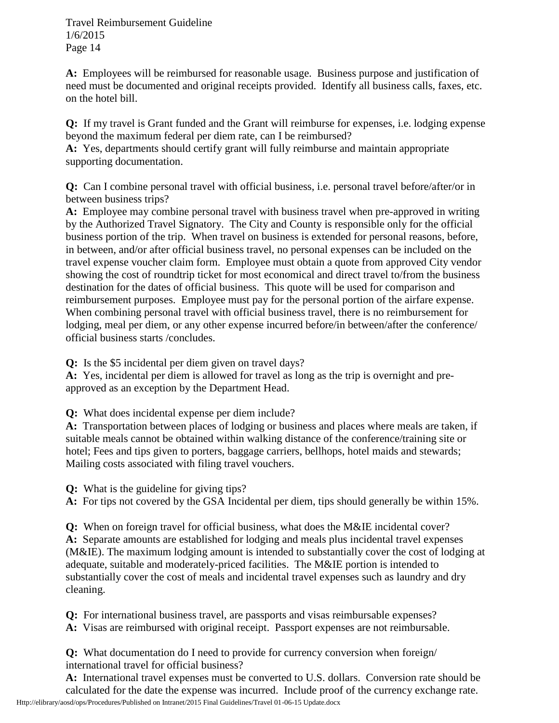**A:** Employees will be reimbursed for reasonable usage. Business purpose and justification of need must be documented and original receipts provided. Identify all business calls, faxes, etc. on the hotel bill.

**Q:** If my travel is Grant funded and the Grant will reimburse for expenses, i.e. lodging expense beyond the maximum federal per diem rate, can I be reimbursed?

**A:** Yes, departments should certify grant will fully reimburse and maintain appropriate supporting documentation.

**Q:** Can I combine personal travel with official business, i.e. personal travel before/after/or in between business trips?

**A:** Employee may combine personal travel with business travel when pre-approved in writing by the Authorized Travel Signatory. The City and County is responsible only for the official business portion of the trip. When travel on business is extended for personal reasons, before, in between, and/or after official business travel, no personal expenses can be included on the travel expense voucher claim form. Employee must obtain a quote from approved City vendor showing the cost of roundtrip ticket for most economical and direct travel to/from the business destination for the dates of official business. This quote will be used for comparison and reimbursement purposes. Employee must pay for the personal portion of the airfare expense. When combining personal travel with official business travel, there is no reimbursement for lodging, meal per diem, or any other expense incurred before/in between/after the conference/ official business starts /concludes.

**Q:** Is the \$5 incidental per diem given on travel days?

**A:** Yes, incidental per diem is allowed for travel as long as the trip is overnight and preapproved as an exception by the Department Head.

**Q:** What does incidental expense per diem include?

**A:** Transportation between places of lodging or business and places where meals are taken, if suitable meals cannot be obtained within walking distance of the conference/training site or hotel; Fees and tips given to porters, baggage carriers, bellhops, hotel maids and stewards; Mailing costs associated with filing travel vouchers.

**Q:** What is the guideline for giving tips?

**A:** For tips not covered by the GSA Incidental per diem, tips should generally be within 15%.

**Q:** When on foreign travel for official business, what does the M&IE incidental cover? **A:** Separate amounts are established for lodging and meals plus incidental travel expenses (M&IE). The maximum lodging amount is intended to substantially cover the cost of lodging at adequate, suitable and moderately-priced facilities. The M&IE portion is intended to substantially cover the cost of meals and incidental travel expenses such as laundry and dry cleaning.

**Q:** For international business travel, are passports and visas reimbursable expenses?

**A:** Visas are reimbursed with original receipt. Passport expenses are not reimbursable.

**Q:** What documentation do I need to provide for currency conversion when foreign/ international travel for official business?

Http://elibrary/aosd/ops/Procedures/Published on Intranet/2015 Final Guidelines/Travel 01-06-15 Update.docx **A:** International travel expenses must be converted to U.S. dollars. Conversion rate should be calculated for the date the expense was incurred. Include proof of the currency exchange rate.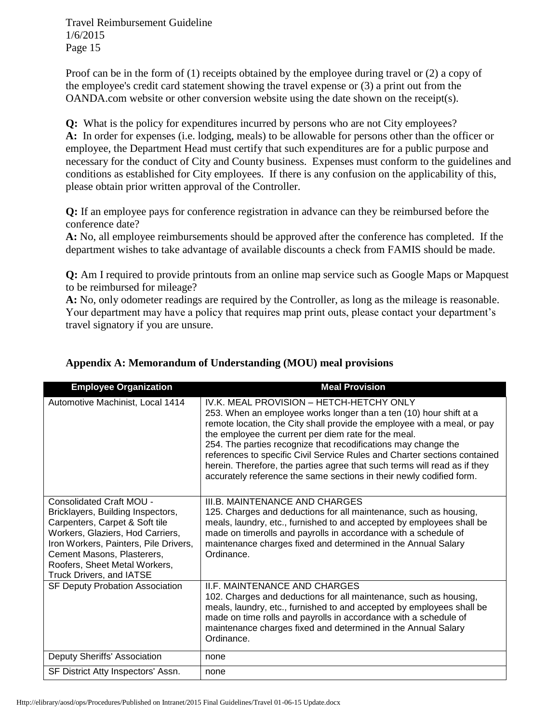Proof can be in the form of (1) receipts obtained by the employee during travel or (2) a copy of the employee's credit card statement showing the travel expense or (3) a print out from the OANDA.com website or other conversion website using the date shown on the receipt(s).

**Q:** What is the policy for expenditures incurred by persons who are not City employees? **A:** In order for expenses (i.e. lodging, meals) to be allowable for persons other than the officer or employee, the Department Head must certify that such expenditures are for a public purpose and necessary for the conduct of City and County business. Expenses must conform to the guidelines and conditions as established for City employees. If there is any confusion on the applicability of this, please obtain prior written approval of the Controller.

**Q:** If an employee pays for conference registration in advance can they be reimbursed before the conference date?

**A:** No, all employee reimbursements should be approved after the conference has completed. If the department wishes to take advantage of available discounts a check from FAMIS should be made.

**Q:** Am I required to provide printouts from an online map service such as Google Maps or Mapquest to be reimbursed for mileage?

**A:** No, only odometer readings are required by the Controller, as long as the mileage is reasonable. Your department may have a policy that requires map print outs, please contact your department's travel signatory if you are unsure.

| <b>Employee Organization</b>                                                                                                                                                                                                                                                   | <b>Meal Provision</b>                                                                                                                                                                                                                                                                                                                                                                                                                                                                                                                                  |
|--------------------------------------------------------------------------------------------------------------------------------------------------------------------------------------------------------------------------------------------------------------------------------|--------------------------------------------------------------------------------------------------------------------------------------------------------------------------------------------------------------------------------------------------------------------------------------------------------------------------------------------------------------------------------------------------------------------------------------------------------------------------------------------------------------------------------------------------------|
| Automotive Machinist, Local 1414                                                                                                                                                                                                                                               | IV.K. MEAL PROVISION - HETCH-HETCHY ONLY<br>253. When an employee works longer than a ten (10) hour shift at a<br>remote location, the City shall provide the employee with a meal, or pay<br>the employee the current per diem rate for the meal.<br>254. The parties recognize that recodifications may change the<br>references to specific Civil Service Rules and Charter sections contained<br>herein. Therefore, the parties agree that such terms will read as if they<br>accurately reference the same sections in their newly codified form. |
| <b>Consolidated Craft MOU -</b><br>Bricklayers, Building Inspectors,<br>Carpenters, Carpet & Soft tile<br>Workers, Glaziers, Hod Carriers,<br>Iron Workers, Painters, Pile Drivers,<br>Cement Masons, Plasterers,<br>Roofers, Sheet Metal Workers,<br>Truck Drivers, and IATSE | III.B. MAINTENANCE AND CHARGES<br>125. Charges and deductions for all maintenance, such as housing,<br>meals, laundry, etc., furnished to and accepted by employees shall be<br>made on timerolls and payrolls in accordance with a schedule of<br>maintenance charges fixed and determined in the Annual Salary<br>Ordinance.                                                                                                                                                                                                                         |
| SF Deputy Probation Association                                                                                                                                                                                                                                                | <b>II.F. MAINTENANCE AND CHARGES</b><br>102. Charges and deductions for all maintenance, such as housing,<br>meals, laundry, etc., furnished to and accepted by employees shall be<br>made on time rolls and payrolls in accordance with a schedule of<br>maintenance charges fixed and determined in the Annual Salary<br>Ordinance.                                                                                                                                                                                                                  |
| Deputy Sheriffs' Association                                                                                                                                                                                                                                                   | none                                                                                                                                                                                                                                                                                                                                                                                                                                                                                                                                                   |
| SF District Atty Inspectors' Assn.                                                                                                                                                                                                                                             | none                                                                                                                                                                                                                                                                                                                                                                                                                                                                                                                                                   |

## **Appendix A: Memorandum of Understanding (MOU) meal provisions**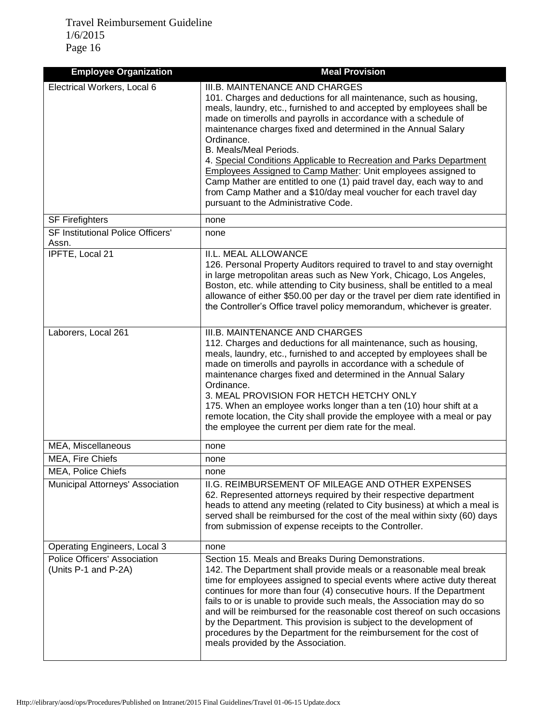| <b>Employee Organization</b>                         | <b>Meal Provision</b>                                                                                                                                                                                                                                                                                                                                                                                                                                                                                                                                                                                                                                                                       |
|------------------------------------------------------|---------------------------------------------------------------------------------------------------------------------------------------------------------------------------------------------------------------------------------------------------------------------------------------------------------------------------------------------------------------------------------------------------------------------------------------------------------------------------------------------------------------------------------------------------------------------------------------------------------------------------------------------------------------------------------------------|
| Electrical Workers, Local 6                          | III.B. MAINTENANCE AND CHARGES<br>101. Charges and deductions for all maintenance, such as housing,<br>meals, laundry, etc., furnished to and accepted by employees shall be<br>made on timerolls and payrolls in accordance with a schedule of<br>maintenance charges fixed and determined in the Annual Salary<br>Ordinance.<br>B. Meals/Meal Periods.<br>4. Special Conditions Applicable to Recreation and Parks Department<br><b>Employees Assigned to Camp Mather: Unit employees assigned to</b><br>Camp Mather are entitled to one (1) paid travel day, each way to and<br>from Camp Mather and a \$10/day meal voucher for each travel day<br>pursuant to the Administrative Code. |
| <b>SF Firefighters</b>                               | none                                                                                                                                                                                                                                                                                                                                                                                                                                                                                                                                                                                                                                                                                        |
| <b>SF Institutional Police Officers'</b><br>Assn.    | none                                                                                                                                                                                                                                                                                                                                                                                                                                                                                                                                                                                                                                                                                        |
| IPFTE, Local 21                                      | II.L. MEAL ALLOWANCE<br>126. Personal Property Auditors required to travel to and stay overnight<br>in large metropolitan areas such as New York, Chicago, Los Angeles,<br>Boston, etc. while attending to City business, shall be entitled to a meal<br>allowance of either \$50.00 per day or the travel per diem rate identified in<br>the Controller's Office travel policy memorandum, whichever is greater.                                                                                                                                                                                                                                                                           |
| Laborers, Local 261                                  | III.B. MAINTENANCE AND CHARGES<br>112. Charges and deductions for all maintenance, such as housing,<br>meals, laundry, etc., furnished to and accepted by employees shall be<br>made on timerolls and payrolls in accordance with a schedule of<br>maintenance charges fixed and determined in the Annual Salary<br>Ordinance.<br>3. MEAL PROVISION FOR HETCH HETCHY ONLY<br>175. When an employee works longer than a ten (10) hour shift at a<br>remote location, the City shall provide the employee with a meal or pay<br>the employee the current per diem rate for the meal.                                                                                                          |
| MEA, Miscellaneous                                   | none                                                                                                                                                                                                                                                                                                                                                                                                                                                                                                                                                                                                                                                                                        |
| MEA, Fire Chiefs                                     | none                                                                                                                                                                                                                                                                                                                                                                                                                                                                                                                                                                                                                                                                                        |
| <b>MEA, Police Chiefs</b>                            | none                                                                                                                                                                                                                                                                                                                                                                                                                                                                                                                                                                                                                                                                                        |
| Municipal Attorneys' Association                     | II.G. REIMBURSEMENT OF MILEAGE AND OTHER EXPENSES<br>62. Represented attorneys required by their respective department<br>heads to attend any meeting (related to City business) at which a meal is<br>served shall be reimbursed for the cost of the meal within sixty (60) days<br>from submission of expense receipts to the Controller.                                                                                                                                                                                                                                                                                                                                                 |
| <b>Operating Engineers, Local 3</b>                  | none                                                                                                                                                                                                                                                                                                                                                                                                                                                                                                                                                                                                                                                                                        |
| Police Officers' Association<br>(Units P-1 and P-2A) | Section 15. Meals and Breaks During Demonstrations.<br>142. The Department shall provide meals or a reasonable meal break<br>time for employees assigned to special events where active duty thereat<br>continues for more than four (4) consecutive hours. If the Department<br>fails to or is unable to provide such meals, the Association may do so<br>and will be reimbursed for the reasonable cost thereof on such occasions<br>by the Department. This provision is subject to the development of<br>procedures by the Department for the reimbursement for the cost of<br>meals provided by the Association.                                                                       |